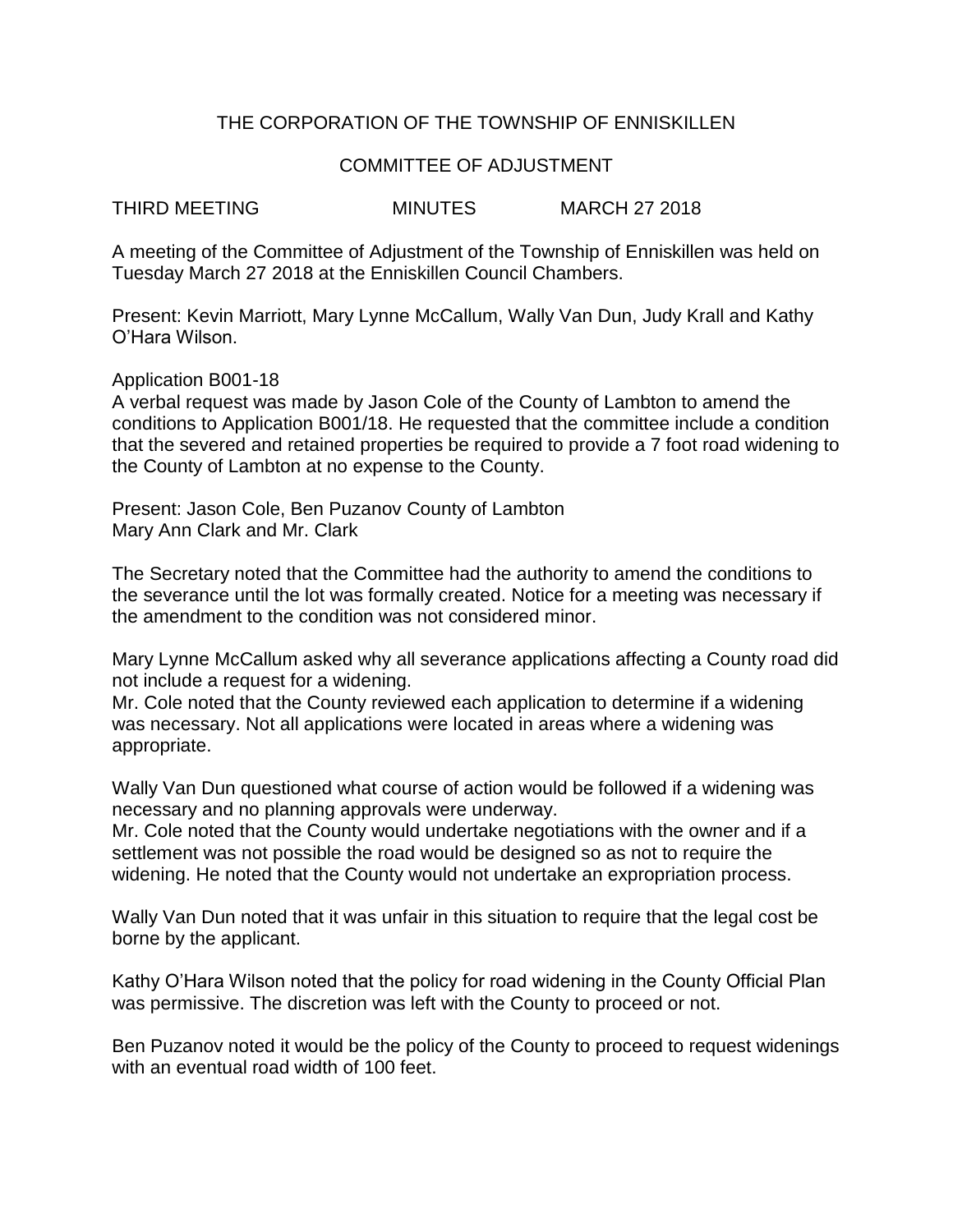## THE CORPORATION OF THE TOWNSHIP OF ENNISKILLEN

## COMMITTEE OF ADJUSTMENT

THIRD MEETING MINUTES MARCH 27 2018

A meeting of the Committee of Adjustment of the Township of Enniskillen was held on Tuesday March 27 2018 at the Enniskillen Council Chambers.

Present: Kevin Marriott, Mary Lynne McCallum, Wally Van Dun, Judy Krall and Kathy O'Hara Wilson.

Application B001-18

A verbal request was made by Jason Cole of the County of Lambton to amend the conditions to Application B001/18. He requested that the committee include a condition that the severed and retained properties be required to provide a 7 foot road widening to the County of Lambton at no expense to the County.

Present: Jason Cole, Ben Puzanov County of Lambton Mary Ann Clark and Mr. Clark

The Secretary noted that the Committee had the authority to amend the conditions to the severance until the lot was formally created. Notice for a meeting was necessary if the amendment to the condition was not considered minor.

Mary Lynne McCallum asked why all severance applications affecting a County road did not include a request for a widening.

Mr. Cole noted that the County reviewed each application to determine if a widening was necessary. Not all applications were located in areas where a widening was appropriate.

Wally Van Dun questioned what course of action would be followed if a widening was necessary and no planning approvals were underway.

Mr. Cole noted that the County would undertake negotiations with the owner and if a settlement was not possible the road would be designed so as not to require the widening. He noted that the County would not undertake an expropriation process.

Wally Van Dun noted that it was unfair in this situation to require that the legal cost be borne by the applicant.

Kathy O'Hara Wilson noted that the policy for road widening in the County Official Plan was permissive. The discretion was left with the County to proceed or not.

Ben Puzanov noted it would be the policy of the County to proceed to request widenings with an eventual road width of 100 feet.